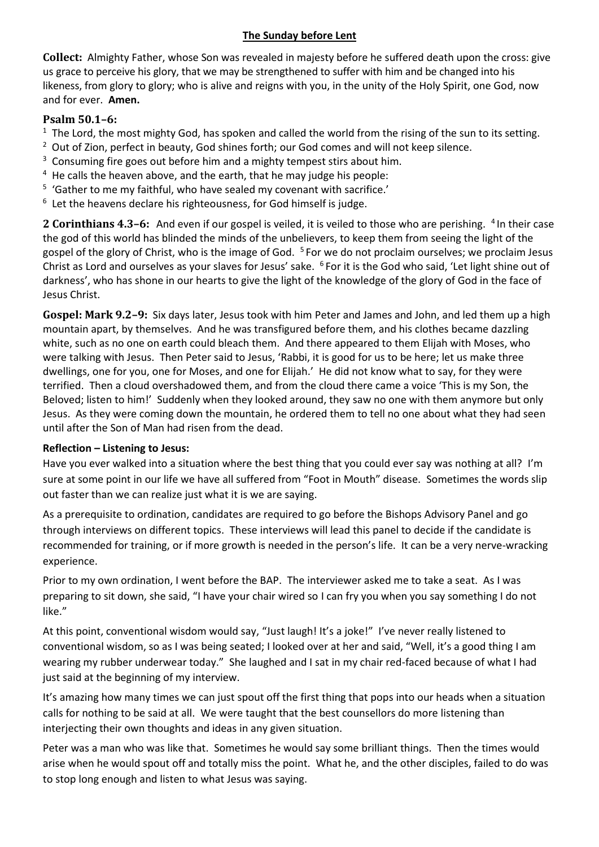## **The Sunday before Lent**

**Collect:** Almighty Father, whose Son was revealed in majesty before he suffered death upon the cross: give us grace to perceive his glory, that we may be strengthened to suffer with him and be changed into his likeness, from glory to glory; who is alive and reigns with you, in the unity of the Holy Spirit, one God, now and for ever. **Amen.**

## **Psalm 50.1–6:**

- $1$  The Lord, the most mighty God, has spoken and called the world from the rising of the sun to its setting.
- $2$  Out of Zion, perfect in beauty, God shines forth; our God comes and will not keep silence.
- $3$  Consuming fire goes out before him and a mighty tempest stirs about him.
- <sup>4</sup> He calls the heaven above, and the earth, that he may judge his people:
- <sup>5</sup> 'Gather to me my faithful, who have sealed my covenant with sacrifice.'
- $6$  Let the heavens declare his righteousness, for God himself is judge.

**2 Corinthians 4.3–6:** And even if our gospel is veiled, it is veiled to those who are perishing. <sup>4</sup>In their case the god of this world has blinded the minds of the unbelievers, to keep them from seeing the light of the gospel of the glory of Christ, who is the image of God. <sup>5</sup> For we do not proclaim ourselves; we proclaim Jesus Christ as Lord and ourselves as your slaves for Jesus' sake. <sup>6</sup> For it is the God who said, 'Let light shine out of darkness', who has shone in our hearts to give the light of the knowledge of the glory of God in the face of Jesus Christ.

**Gospel: Mark 9.2–9:** Six days later, Jesus took with him Peter and James and John, and led them up a high mountain apart, by themselves. And he was transfigured before them, and his clothes became dazzling white, such as no one on earth could bleach them. And there appeared to them Elijah with Moses, who were talking with Jesus. Then Peter said to Jesus, 'Rabbi, it is good for us to be here; let us make three dwellings, one for you, one for Moses, and one for Elijah.' He did not know what to say, for they were terrified. Then a cloud overshadowed them, and from the cloud there came a voice 'This is my Son, the Beloved; listen to him!' Suddenly when they looked around, they saw no one with them anymore but only Jesus. As they were coming down the mountain, he ordered them to tell no one about what they had seen until after the Son of Man had risen from the dead.

## **Reflection – Listening to Jesus:**

Have you ever walked into a situation where the best thing that you could ever say was nothing at all? I'm sure at some point in our life we have all suffered from "Foot in Mouth" disease. Sometimes the words slip out faster than we can realize just what it is we are saying.

As a prerequisite to ordination, candidates are required to go before the Bishops Advisory Panel and go through interviews on different topics. These interviews will lead this panel to decide if the candidate is recommended for training, or if more growth is needed in the person's life. It can be a very nerve-wracking experience.

Prior to my own ordination, I went before the BAP. The interviewer asked me to take a seat. As I was preparing to sit down, she said, "I have your chair wired so I can fry you when you say something I do not like."

At this point, conventional wisdom would say, "Just laugh! It's a joke!" I've never really listened to conventional wisdom, so as I was being seated; I looked over at her and said, "Well, it's a good thing I am wearing my rubber underwear today." She laughed and I sat in my chair red-faced because of what I had just said at the beginning of my interview.

It's amazing how many times we can just spout off the first thing that pops into our heads when a situation calls for nothing to be said at all. We were taught that the best counsellors do more listening than interjecting their own thoughts and ideas in any given situation.

Peter was a man who was like that. Sometimes he would say some brilliant things. Then the times would arise when he would spout off and totally miss the point. What he, and the other disciples, failed to do was to stop long enough and listen to what Jesus was saying.